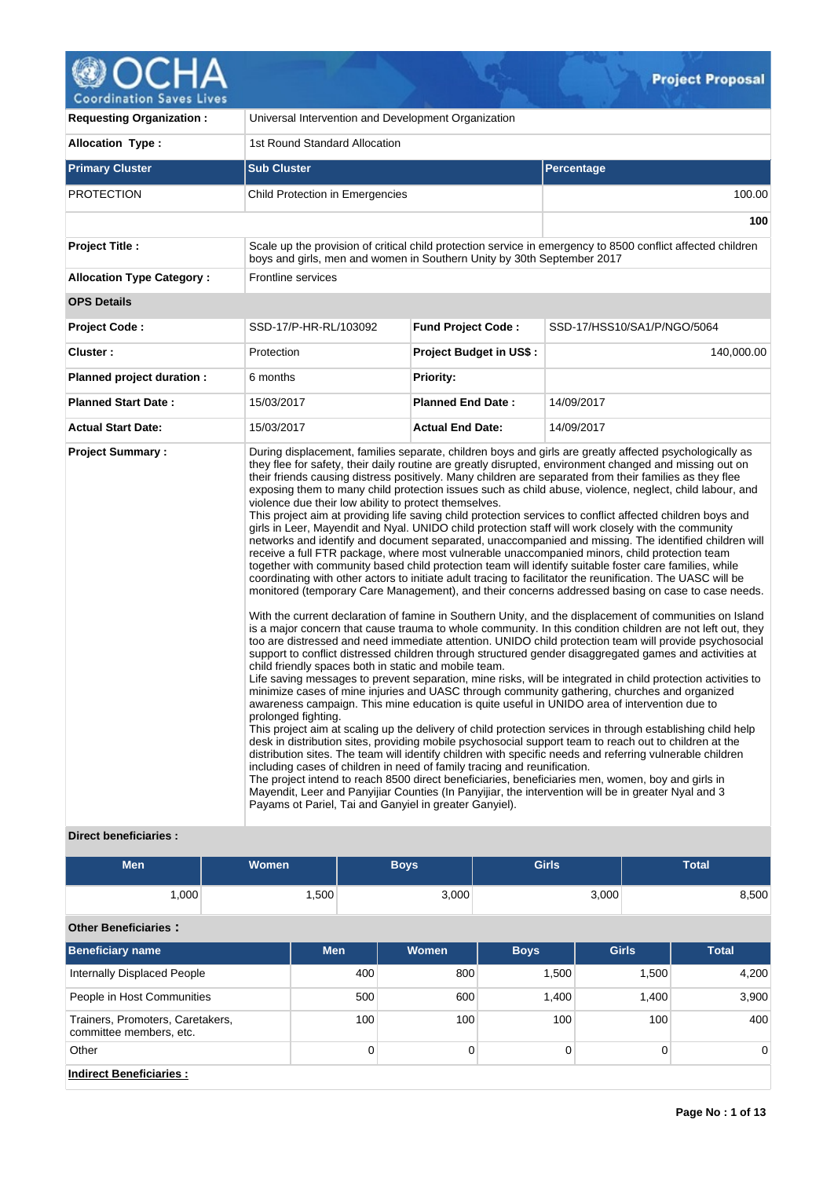

| <b>Requesting Organization:</b>  | Universal Intervention and Development Organization                                                                                                                                                                                                                         |                                |                                                                                                                                                                                                                                                                                                                                                                                                                                                                                                                                                                                                                                                                                                                                                                                                                                                                                                                                                                                                                                                                                                                                                                                                                                                                                                                                                                                                                                                                                                                                                                                                                                                                                                                                                                                                                                                                                                                                                                                                                                                                                                                                                                                                                                                                                                                                                                                                                                                                                                                       |  |  |  |  |  |
|----------------------------------|-----------------------------------------------------------------------------------------------------------------------------------------------------------------------------------------------------------------------------------------------------------------------------|--------------------------------|-----------------------------------------------------------------------------------------------------------------------------------------------------------------------------------------------------------------------------------------------------------------------------------------------------------------------------------------------------------------------------------------------------------------------------------------------------------------------------------------------------------------------------------------------------------------------------------------------------------------------------------------------------------------------------------------------------------------------------------------------------------------------------------------------------------------------------------------------------------------------------------------------------------------------------------------------------------------------------------------------------------------------------------------------------------------------------------------------------------------------------------------------------------------------------------------------------------------------------------------------------------------------------------------------------------------------------------------------------------------------------------------------------------------------------------------------------------------------------------------------------------------------------------------------------------------------------------------------------------------------------------------------------------------------------------------------------------------------------------------------------------------------------------------------------------------------------------------------------------------------------------------------------------------------------------------------------------------------------------------------------------------------------------------------------------------------------------------------------------------------------------------------------------------------------------------------------------------------------------------------------------------------------------------------------------------------------------------------------------------------------------------------------------------------------------------------------------------------------------------------------------------------|--|--|--|--|--|
| <b>Allocation Type:</b>          | 1st Round Standard Allocation                                                                                                                                                                                                                                               |                                |                                                                                                                                                                                                                                                                                                                                                                                                                                                                                                                                                                                                                                                                                                                                                                                                                                                                                                                                                                                                                                                                                                                                                                                                                                                                                                                                                                                                                                                                                                                                                                                                                                                                                                                                                                                                                                                                                                                                                                                                                                                                                                                                                                                                                                                                                                                                                                                                                                                                                                                       |  |  |  |  |  |
| <b>Primary Cluster</b>           | <b>Sub Cluster</b>                                                                                                                                                                                                                                                          |                                | <b>Percentage</b>                                                                                                                                                                                                                                                                                                                                                                                                                                                                                                                                                                                                                                                                                                                                                                                                                                                                                                                                                                                                                                                                                                                                                                                                                                                                                                                                                                                                                                                                                                                                                                                                                                                                                                                                                                                                                                                                                                                                                                                                                                                                                                                                                                                                                                                                                                                                                                                                                                                                                                     |  |  |  |  |  |
| <b>PROTECTION</b>                | Child Protection in Emergencies                                                                                                                                                                                                                                             |                                | 100.00                                                                                                                                                                                                                                                                                                                                                                                                                                                                                                                                                                                                                                                                                                                                                                                                                                                                                                                                                                                                                                                                                                                                                                                                                                                                                                                                                                                                                                                                                                                                                                                                                                                                                                                                                                                                                                                                                                                                                                                                                                                                                                                                                                                                                                                                                                                                                                                                                                                                                                                |  |  |  |  |  |
|                                  |                                                                                                                                                                                                                                                                             |                                | 100                                                                                                                                                                                                                                                                                                                                                                                                                                                                                                                                                                                                                                                                                                                                                                                                                                                                                                                                                                                                                                                                                                                                                                                                                                                                                                                                                                                                                                                                                                                                                                                                                                                                                                                                                                                                                                                                                                                                                                                                                                                                                                                                                                                                                                                                                                                                                                                                                                                                                                                   |  |  |  |  |  |
| Project Title :                  | boys and girls, men and women in Southern Unity by 30th September 2017                                                                                                                                                                                                      |                                | Scale up the provision of critical child protection service in emergency to 8500 conflict affected children                                                                                                                                                                                                                                                                                                                                                                                                                                                                                                                                                                                                                                                                                                                                                                                                                                                                                                                                                                                                                                                                                                                                                                                                                                                                                                                                                                                                                                                                                                                                                                                                                                                                                                                                                                                                                                                                                                                                                                                                                                                                                                                                                                                                                                                                                                                                                                                                           |  |  |  |  |  |
| <b>Allocation Type Category:</b> | Frontline services                                                                                                                                                                                                                                                          |                                |                                                                                                                                                                                                                                                                                                                                                                                                                                                                                                                                                                                                                                                                                                                                                                                                                                                                                                                                                                                                                                                                                                                                                                                                                                                                                                                                                                                                                                                                                                                                                                                                                                                                                                                                                                                                                                                                                                                                                                                                                                                                                                                                                                                                                                                                                                                                                                                                                                                                                                                       |  |  |  |  |  |
| <b>OPS Details</b>               |                                                                                                                                                                                                                                                                             |                                |                                                                                                                                                                                                                                                                                                                                                                                                                                                                                                                                                                                                                                                                                                                                                                                                                                                                                                                                                                                                                                                                                                                                                                                                                                                                                                                                                                                                                                                                                                                                                                                                                                                                                                                                                                                                                                                                                                                                                                                                                                                                                                                                                                                                                                                                                                                                                                                                                                                                                                                       |  |  |  |  |  |
| <b>Project Code:</b>             | SSD-17/P-HR-RL/103092                                                                                                                                                                                                                                                       | <b>Fund Project Code:</b>      | SSD-17/HSS10/SA1/P/NGO/5064                                                                                                                                                                                                                                                                                                                                                                                                                                                                                                                                                                                                                                                                                                                                                                                                                                                                                                                                                                                                                                                                                                                                                                                                                                                                                                                                                                                                                                                                                                                                                                                                                                                                                                                                                                                                                                                                                                                                                                                                                                                                                                                                                                                                                                                                                                                                                                                                                                                                                           |  |  |  |  |  |
| Cluster:                         | Protection                                                                                                                                                                                                                                                                  | <b>Project Budget in US\$:</b> | 140,000.00                                                                                                                                                                                                                                                                                                                                                                                                                                                                                                                                                                                                                                                                                                                                                                                                                                                                                                                                                                                                                                                                                                                                                                                                                                                                                                                                                                                                                                                                                                                                                                                                                                                                                                                                                                                                                                                                                                                                                                                                                                                                                                                                                                                                                                                                                                                                                                                                                                                                                                            |  |  |  |  |  |
| Planned project duration :       | 6 months                                                                                                                                                                                                                                                                    | <b>Priority:</b>               |                                                                                                                                                                                                                                                                                                                                                                                                                                                                                                                                                                                                                                                                                                                                                                                                                                                                                                                                                                                                                                                                                                                                                                                                                                                                                                                                                                                                                                                                                                                                                                                                                                                                                                                                                                                                                                                                                                                                                                                                                                                                                                                                                                                                                                                                                                                                                                                                                                                                                                                       |  |  |  |  |  |
| <b>Planned Start Date:</b>       | 15/03/2017                                                                                                                                                                                                                                                                  | <b>Planned End Date:</b>       | 14/09/2017                                                                                                                                                                                                                                                                                                                                                                                                                                                                                                                                                                                                                                                                                                                                                                                                                                                                                                                                                                                                                                                                                                                                                                                                                                                                                                                                                                                                                                                                                                                                                                                                                                                                                                                                                                                                                                                                                                                                                                                                                                                                                                                                                                                                                                                                                                                                                                                                                                                                                                            |  |  |  |  |  |
| <b>Actual Start Date:</b>        | 15/03/2017                                                                                                                                                                                                                                                                  | <b>Actual End Date:</b>        | 14/09/2017                                                                                                                                                                                                                                                                                                                                                                                                                                                                                                                                                                                                                                                                                                                                                                                                                                                                                                                                                                                                                                                                                                                                                                                                                                                                                                                                                                                                                                                                                                                                                                                                                                                                                                                                                                                                                                                                                                                                                                                                                                                                                                                                                                                                                                                                                                                                                                                                                                                                                                            |  |  |  |  |  |
| <b>Project Summary:</b>          | violence due their low ability to protect themselves.<br>child friendly spaces both in static and mobile team.<br>prolonged fighting.<br>including cases of children in need of family tracing and reunification.<br>Payams ot Pariel, Tai and Ganyiel in greater Ganyiel). |                                | During displacement, families separate, children boys and girls are greatly affected psychologically as<br>they flee for safety, their daily routine are greatly disrupted, environment changed and missing out on<br>their friends causing distress positively. Many children are separated from their families as they flee<br>exposing them to many child protection issues such as child abuse, violence, neglect, child labour, and<br>This project aim at providing life saving child protection services to conflict affected children boys and<br>girls in Leer, Mayendit and Nyal. UNIDO child protection staff will work closely with the community<br>networks and identify and document separated, unaccompanied and missing. The identified children will<br>receive a full FTR package, where most vulnerable unaccompanied minors, child protection team<br>together with community based child protection team will identify suitable foster care families, while<br>coordinating with other actors to initiate adult tracing to facilitator the reunification. The UASC will be<br>monitored (temporary Care Management), and their concerns addressed basing on case to case needs.<br>With the current declaration of famine in Southern Unity, and the displacement of communities on Island<br>is a major concern that cause trauma to whole community. In this condition children are not left out, they<br>too are distressed and need immediate attention. UNIDO child protection team will provide psychosocial<br>support to conflict distressed children through structured gender disaggregated games and activities at<br>Life saving messages to prevent separation, mine risks, will be integrated in child protection activities to<br>minimize cases of mine injuries and UASC through community gathering, churches and organized<br>awareness campaign. This mine education is quite useful in UNIDO area of intervention due to<br>This project aim at scaling up the delivery of child protection services in through establishing child help<br>desk in distribution sites, providing mobile psychosocial support team to reach out to children at the<br>distribution sites. The team will identify children with specific needs and referring vulnerable children<br>The project intend to reach 8500 direct beneficiaries, beneficiaries men, women, boy and girls in<br>Mayendit, Leer and Panyijiar Counties (In Panyijiar, the intervention will be in greater Nyal and 3 |  |  |  |  |  |

## **Direct beneficiaries :**

| <b>Men</b> | <b>Women</b> | <b>Boys</b> | <b>Girls</b> | <b>Total</b> |
|------------|--------------|-------------|--------------|--------------|
| ,000       | ∫500, .      | 3,000       | 3,000        | 8,500        |

# **Other Beneficiaries :**

| <b>Beneficiary name</b>                                     | <b>Men</b>   | <b>Women</b> | <b>Boys</b> | <b>Girls</b> | <b>Total</b> |
|-------------------------------------------------------------|--------------|--------------|-------------|--------------|--------------|
| Internally Displaced People                                 | 400          | 800          | 1,500       | 1,500        | 4,200        |
| People in Host Communities                                  | 500          | 600          | 1.400       | 1.400        | 3,900        |
| Trainers, Promoters, Caretakers,<br>committee members, etc. | 100          | 100          | 100         | 100          | 400          |
| Other                                                       | $\mathbf{0}$ |              |             | 0            | 0            |
| <b>Indirect Beneficiaries:</b>                              |              |              |             |              |              |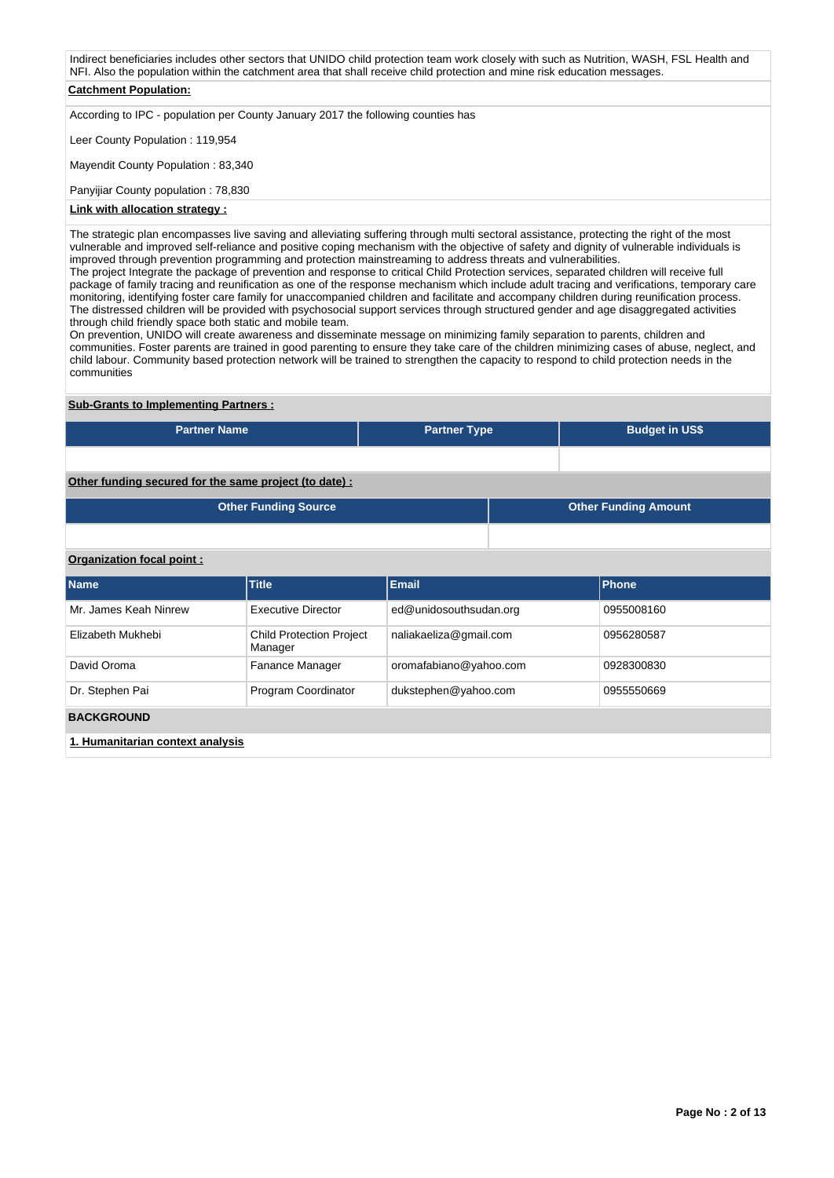Indirect beneficiaries includes other sectors that UNIDO child protection team work closely with such as Nutrition, WASH, FSL Health and NFI. Also the population within the catchment area that shall receive child protection and mine risk education messages. **Catchment Population:** According to IPC - population per County January 2017 the following counties has Leer County Population : 119,954 Mayendit County Population : 83,340

Panyijiar County population : 78,830 **Link with allocation strategy :**

The strategic plan encompasses live saving and alleviating suffering through multi sectoral assistance, protecting the right of the most vulnerable and improved self-reliance and positive coping mechanism with the objective of safety and dignity of vulnerable individuals is improved through prevention programming and protection mainstreaming to address threats and vulnerabilities. The project Integrate the package of prevention and response to critical Child Protection services, separated children will receive full package of family tracing and reunification as one of the response mechanism which include adult tracing and verifications, temporary care monitoring, identifying foster care family for unaccompanied children and facilitate and accompany children during reunification process. The distressed children will be provided with psychosocial support services through structured gender and age disaggregated activities

through child friendly space both static and mobile team. On prevention, UNIDO will create awareness and disseminate message on minimizing family separation to parents, children and communities. Foster parents are trained in good parenting to ensure they take care of the children minimizing cases of abuse, neglect, and child labour. Community based protection network will be trained to strengthen the capacity to respond to child protection needs in the communities

## **Sub-Grants to Implementing Partners :**

| <b>Partner Name</b>                                   | <b>Partner Type</b> | <b>Budget in US\$</b>       |
|-------------------------------------------------------|---------------------|-----------------------------|
|                                                       |                     |                             |
|                                                       |                     |                             |
| Other funding secured for the same project (to date): |                     |                             |
| <b>Other Funding Source</b>                           |                     | <b>Other Funding Amount</b> |

## **Organization focal point :**

| <b>Name</b>                      | Title                                      | <b>Email</b>           | Phone      |
|----------------------------------|--------------------------------------------|------------------------|------------|
| Mr. James Keah Ninrew            | <b>Executive Director</b>                  | ed@unidosouthsudan.org | 0955008160 |
| Elizabeth Mukhebi                | <b>Child Protection Project</b><br>Manager | naliakaeliza@gmail.com | 0956280587 |
| David Oroma                      | Fanance Manager                            | oromafabiano@yahoo.com | 0928300830 |
| Dr. Stephen Pai                  | Program Coordinator                        | dukstephen@yahoo.com   | 0955550669 |
| <b>BACKGROUND</b>                |                                            |                        |            |
| 4. Uumanitarian aantayt analyaja |                                            |                        |            |

**1. Humanitarian context analysis**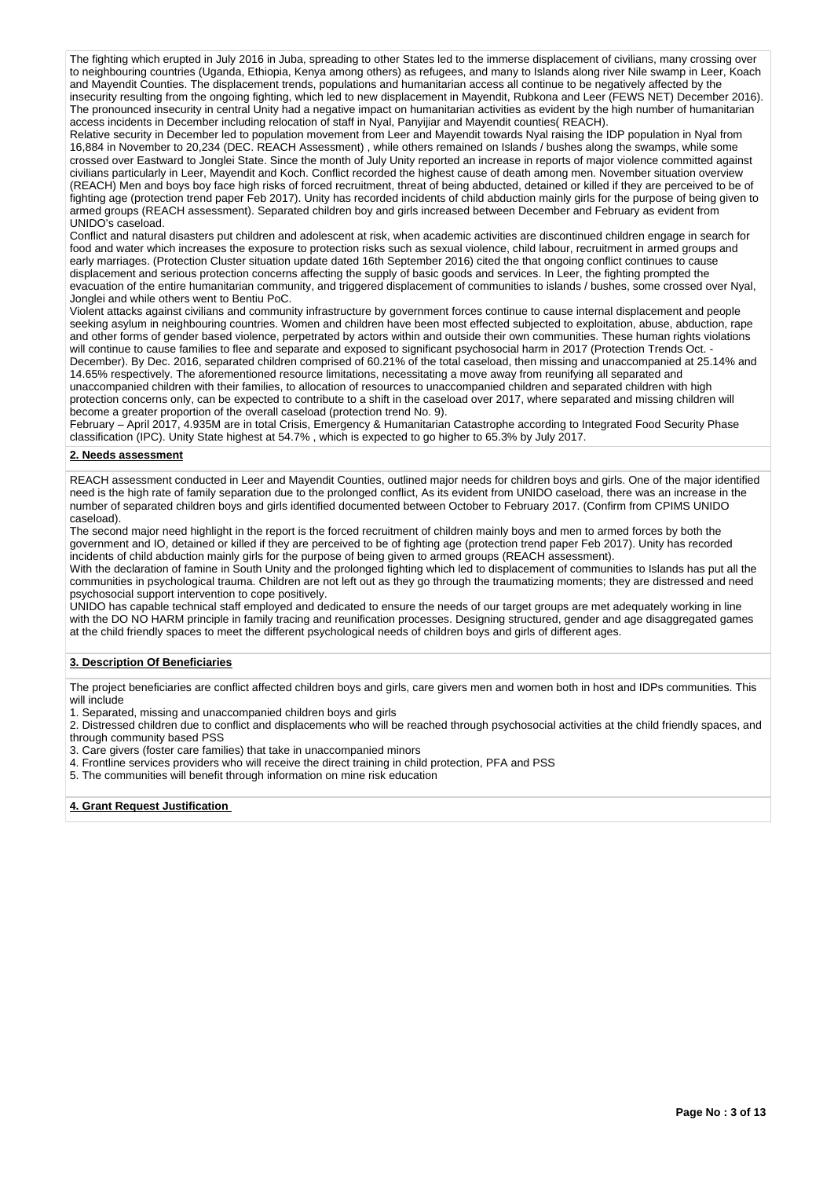The fighting which erupted in July 2016 in Juba, spreading to other States led to the immerse displacement of civilians, many crossing over to neighbouring countries (Uganda, Ethiopia, Kenya among others) as refugees, and many to Islands along river Nile swamp in Leer, Koach and Mayendit Counties. The displacement trends, populations and humanitarian access all continue to be negatively affected by the insecurity resulting from the ongoing fighting, which led to new displacement in Mayendit, Rubkona and Leer (FEWS NET) December 2016). The pronounced insecurity in central Unity had a negative impact on humanitarian activities as evident by the high number of humanitarian access incidents in December including relocation of staff in Nyal, Panyijiar and Mayendit counties( REACH).

Relative security in December led to population movement from Leer and Mayendit towards Nyal raising the IDP population in Nyal from 16,884 in November to 20,234 (DEC. REACH Assessment) , while others remained on Islands / bushes along the swamps, while some crossed over Eastward to Jonglei State. Since the month of July Unity reported an increase in reports of major violence committed against civilians particularly in Leer, Mayendit and Koch. Conflict recorded the highest cause of death among men. November situation overview (REACH) Men and boys boy face high risks of forced recruitment, threat of being abducted, detained or killed if they are perceived to be of fighting age (protection trend paper Feb 2017). Unity has recorded incidents of child abduction mainly girls for the purpose of being given to armed groups (REACH assessment). Separated children boy and girls increased between December and February as evident from UNIDO's caseload.

Conflict and natural disasters put children and adolescent at risk, when academic activities are discontinued children engage in search for food and water which increases the exposure to protection risks such as sexual violence, child labour, recruitment in armed groups and early marriages. (Protection Cluster situation update dated 16th September 2016) cited the that ongoing conflict continues to cause displacement and serious protection concerns affecting the supply of basic goods and services. In Leer, the fighting prompted the evacuation of the entire humanitarian community, and triggered displacement of communities to islands / bushes, some crossed over Nyal, Jonglei and while others went to Bentiu PoC.

Violent attacks against civilians and community infrastructure by government forces continue to cause internal displacement and people seeking asylum in neighbouring countries. Women and children have been most effected subjected to exploitation, abuse, abduction, rape and other forms of gender based violence, perpetrated by actors within and outside their own communities. These human rights violations will continue to cause families to flee and separate and exposed to significant psychosocial harm in 2017 (Protection Trends Oct. December). By Dec. 2016, separated children comprised of 60.21% of the total caseload, then missing and unaccompanied at 25.14% and 14.65% respectively. The aforementioned resource limitations, necessitating a move away from reunifying all separated and unaccompanied children with their families, to allocation of resources to unaccompanied children and separated children with high protection concerns only, can be expected to contribute to a shift in the caseload over 2017, where separated and missing children will become a greater proportion of the overall caseload (protection trend No. 9).

February – April 2017, 4.935M are in total Crisis, Emergency & Humanitarian Catastrophe according to Integrated Food Security Phase classification (IPC). Unity State highest at 54.7% , which is expected to go higher to 65.3% by July 2017.

### **2. Needs assessment**

REACH assessment conducted in Leer and Mayendit Counties, outlined major needs for children boys and girls. One of the major identified need is the high rate of family separation due to the prolonged conflict, As its evident from UNIDO caseload, there was an increase in the number of separated children boys and girls identified documented between October to February 2017. (Confirm from CPIMS UNIDO caseload).

The second major need highlight in the report is the forced recruitment of children mainly boys and men to armed forces by both the government and IO, detained or killed if they are perceived to be of fighting age (protection trend paper Feb 2017). Unity has recorded incidents of child abduction mainly girls for the purpose of being given to armed groups (REACH assessment).

With the declaration of famine in South Unity and the prolonged fighting which led to displacement of communities to Islands has put all the communities in psychological trauma. Children are not left out as they go through the traumatizing moments; they are distressed and need psychosocial support intervention to cope positively.

UNIDO has capable technical staff employed and dedicated to ensure the needs of our target groups are met adequately working in line with the DO NO HARM principle in family tracing and reunification processes. Designing structured, gender and age disaggregated games at the child friendly spaces to meet the different psychological needs of children boys and girls of different ages.

## **3. Description Of Beneficiaries**

The project beneficiaries are conflict affected children boys and girls, care givers men and women both in host and IDPs communities. This will include

1. Separated, missing and unaccompanied children boys and girls

- 2. Distressed children due to conflict and displacements who will be reached through psychosocial activities at the child friendly spaces, and through community based PSS
- 3. Care givers (foster care families) that take in unaccompanied minors
- 4. Frontline services providers who will receive the direct training in child protection, PFA and PSS
- 5. The communities will benefit through information on mine risk education

#### **4. Grant Request Justification**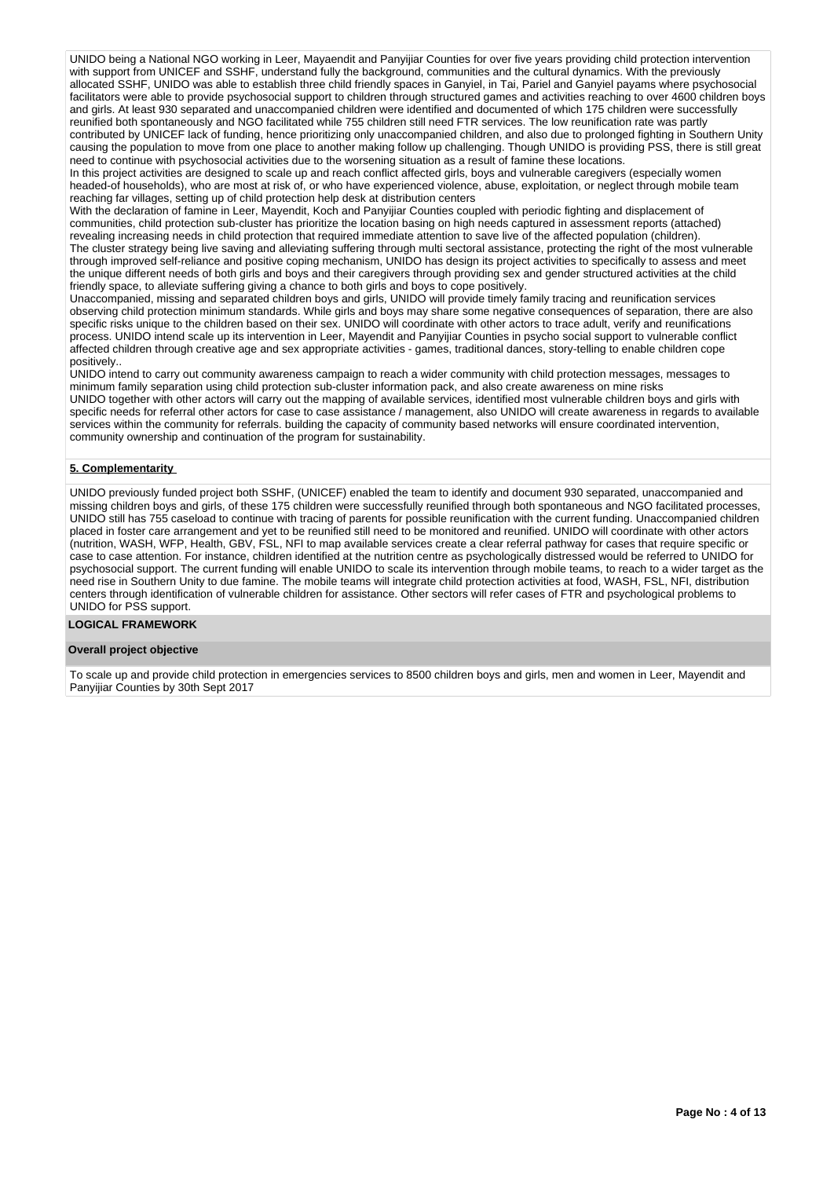UNIDO being a National NGO working in Leer, Mayaendit and Panyijiar Counties for over five years providing child protection intervention with support from UNICEF and SSHF, understand fully the background, communities and the cultural dynamics. With the previously allocated SSHF, UNIDO was able to establish three child friendly spaces in Ganyiel, in Tai, Pariel and Ganyiel payams where psychosocial facilitators were able to provide psychosocial support to children through structured games and activities reaching to over 4600 children boys and girls. At least 930 separated and unaccompanied children were identified and documented of which 175 children were successfully reunified both spontaneously and NGO facilitated while 755 children still need FTR services. The low reunification rate was partly contributed by UNICEF lack of funding, hence prioritizing only unaccompanied children, and also due to prolonged fighting in Southern Unity causing the population to move from one place to another making follow up challenging. Though UNIDO is providing PSS, there is still great need to continue with psychosocial activities due to the worsening situation as a result of famine these locations.

In this project activities are designed to scale up and reach conflict affected girls, boys and vulnerable caregivers (especially women headed-of households), who are most at risk of, or who have experienced violence, abuse, exploitation, or neglect through mobile team reaching far villages, setting up of child protection help desk at distribution centers

With the declaration of famine in Leer, Mayendit, Koch and Panyijiar Counties coupled with periodic fighting and displacement of communities, child protection sub-cluster has prioritize the location basing on high needs captured in assessment reports (attached) revealing increasing needs in child protection that required immediate attention to save live of the affected population (children). The cluster strategy being live saving and alleviating suffering through multi sectoral assistance, protecting the right of the most vulnerable through improved self-reliance and positive coping mechanism, UNIDO has design its project activities to specifically to assess and meet the unique different needs of both girls and boys and their caregivers through providing sex and gender structured activities at the child friendly space, to alleviate suffering giving a chance to both girls and boys to cope positively.

Unaccompanied, missing and separated children boys and girls, UNIDO will provide timely family tracing and reunification services observing child protection minimum standards. While girls and boys may share some negative consequences of separation, there are also specific risks unique to the children based on their sex. UNIDO will coordinate with other actors to trace adult, verify and reunifications process. UNIDO intend scale up its intervention in Leer, Mayendit and Panyijiar Counties in psycho social support to vulnerable conflict affected children through creative age and sex appropriate activities - games, traditional dances, story-telling to enable children cope positively..

UNIDO intend to carry out community awareness campaign to reach a wider community with child protection messages, messages to minimum family separation using child protection sub-cluster information pack, and also create awareness on mine risks UNIDO together with other actors will carry out the mapping of available services, identified most vulnerable children boys and girls with specific needs for referral other actors for case to case assistance / management, also UNIDO will create awareness in regards to available services within the community for referrals. building the capacity of community based networks will ensure coordinated intervention, community ownership and continuation of the program for sustainability.

## **5. Complementarity**

UNIDO previously funded project both SSHF, (UNICEF) enabled the team to identify and document 930 separated, unaccompanied and missing children boys and girls, of these 175 children were successfully reunified through both spontaneous and NGO facilitated processes, UNIDO still has 755 caseload to continue with tracing of parents for possible reunification with the current funding. Unaccompanied children placed in foster care arrangement and yet to be reunified still need to be monitored and reunified. UNIDO will coordinate with other actors (nutrition, WASH, WFP, Health, GBV, FSL, NFI to map available services create a clear referral pathway for cases that require specific or case to case attention. For instance, children identified at the nutrition centre as psychologically distressed would be referred to UNIDO for psychosocial support. The current funding will enable UNIDO to scale its intervention through mobile teams, to reach to a wider target as the need rise in Southern Unity to due famine. The mobile teams will integrate child protection activities at food, WASH, FSL, NFI, distribution centers through identification of vulnerable children for assistance. Other sectors will refer cases of FTR and psychological problems to UNIDO for PSS support.

### **LOGICAL FRAMEWORK**

#### **Overall project objective**

To scale up and provide child protection in emergencies services to 8500 children boys and girls, men and women in Leer, Mayendit and Panyijiar Counties by 30th Sept 2017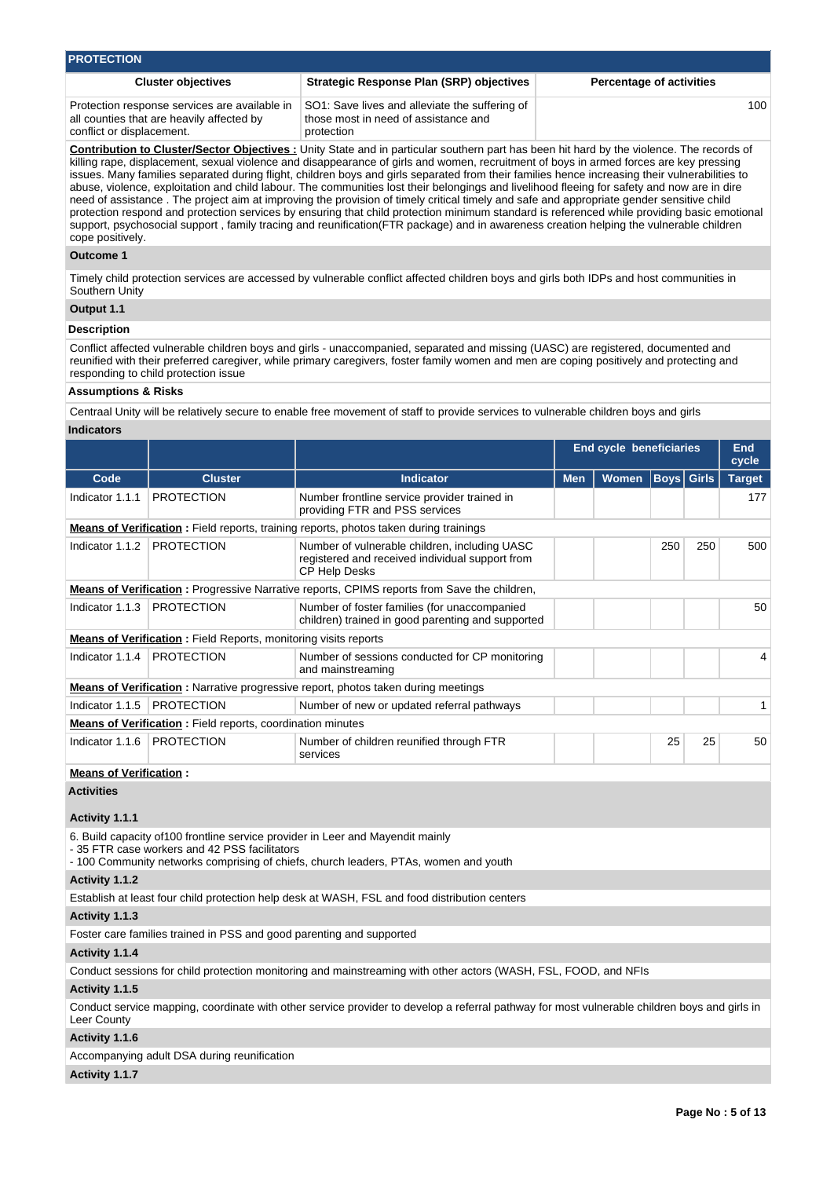| <b>PROTECTION</b>                                                                                                       |                                                                                                      |                                 |  |  |  |  |  |  |
|-------------------------------------------------------------------------------------------------------------------------|------------------------------------------------------------------------------------------------------|---------------------------------|--|--|--|--|--|--|
| <b>Cluster objectives</b>                                                                                               | Strategic Response Plan (SRP) objectives                                                             | <b>Percentage of activities</b> |  |  |  |  |  |  |
| Protection response services are available in<br>all counties that are heavily affected by<br>conflict or displacement. | SO1: Save lives and alleviate the suffering of<br>those most in need of assistance and<br>protection | 100                             |  |  |  |  |  |  |

**Contribution to Cluster/Sector Objectives :** Unity State and in particular southern part has been hit hard by the violence. The records of killing rape, displacement, sexual violence and disappearance of girls and women, recruitment of boys in armed forces are key pressing issues. Many families separated during flight, children boys and girls separated from their families hence increasing their vulnerabilities to abuse, violence, exploitation and child labour. The communities lost their belongings and livelihood fleeing for safety and now are in dire need of assistance . The project aim at improving the provision of timely critical timely and safe and appropriate gender sensitive child protection respond and protection services by ensuring that child protection minimum standard is referenced while providing basic emotional support, psychosocial support , family tracing and reunification(FTR package) and in awareness creation helping the vulnerable children cope positively.

### **Outcome 1**

Timely child protection services are accessed by vulnerable conflict affected children boys and girls both IDPs and host communities in Southern Unity

### **Output 1.1**

## **Description**

Conflict affected vulnerable children boys and girls - unaccompanied, separated and missing (UASC) are registered, documented and reunified with their preferred caregiver, while primary caregivers, foster family women and men are coping positively and protecting and responding to child protection issue

### **Assumptions & Risks**

Centraal Unity will be relatively secure to enable free movement of staff to provide services to vulnerable children boys and girls

### **Indicators**

|                 |                                                                        |                                                                                                                          | <b>End cycle beneficiaries</b> |              |                   |     | End<br>cycle  |
|-----------------|------------------------------------------------------------------------|--------------------------------------------------------------------------------------------------------------------------|--------------------------------|--------------|-------------------|-----|---------------|
| Code            | <b>Cluster</b>                                                         | <b>Indicator</b>                                                                                                         | <b>Men</b>                     | <b>Women</b> | <b>Boys</b> Girls |     | <b>Target</b> |
| Indicator 1.1.1 | <b>PROTECTION</b>                                                      | Number frontline service provider trained in<br>providing FTR and PSS services                                           |                                |              |                   |     | 177           |
|                 |                                                                        | <b>Means of Verification:</b> Field reports, training reports, photos taken during trainings                             |                                |              |                   |     |               |
| Indicator 1.1.2 | <b>PROTECTION</b>                                                      | Number of vulnerable children, including UASC<br>registered and received individual support from<br><b>CP Help Desks</b> |                                |              | 250               | 250 | 500           |
|                 |                                                                        | <b>Means of Verification</b> : Progressive Narrative reports, CPIMS reports from Save the children,                      |                                |              |                   |     |               |
| Indicator 1.1.3 | <b>PROTECTION</b>                                                      | Number of foster families (for unaccompanied<br>children) trained in good parenting and supported                        |                                |              |                   |     | $50^{\circ}$  |
|                 | <b>Means of Verification:</b> Field Reports, monitoring visits reports |                                                                                                                          |                                |              |                   |     |               |
| Indicator 1.1.4 | <b>PROTECTION</b>                                                      | Number of sessions conducted for CP monitoring<br>and mainstreaming                                                      |                                |              |                   |     |               |
|                 |                                                                        | <b>Means of Verification</b> : Narrative progressive report, photos taken during meetings                                |                                |              |                   |     |               |
| Indicator 1.1.5 | <b>PROTECTION</b>                                                      | Number of new or updated referral pathways                                                                               |                                |              |                   |     |               |
|                 | <b>Means of Verification:</b> Field reports, coordination minutes      |                                                                                                                          |                                |              |                   |     |               |
| Indicator 1.1.6 | <b>PROTECTION</b>                                                      | Number of children reunified through FTR<br>services                                                                     |                                | 25           | 25                | 50  |               |

## **Means of Verification :**

**Activities**

### **Activity 1.1.1**

6. Build capacity of100 frontline service provider in Leer and Mayendit mainly

- 35 FTR case workers and 42 PSS facilitators

- 100 Community networks comprising of chiefs, church leaders, PTAs, women and youth

### **Activity 1.1.2**

Establish at least four child protection help desk at WASH, FSL and food distribution centers

**Activity 1.1.3** 

Foster care families trained in PSS and good parenting and supported

## **Activity 1.1.4**

Conduct sessions for child protection monitoring and mainstreaming with other actors (WASH, FSL, FOOD, and NFIs

### **Activity 1.1.5**

Conduct service mapping, coordinate with other service provider to develop a referral pathway for most vulnerable children boys and girls in Leer County

## **Activity 1.1.6**

Accompanying adult DSA during reunification

#### **Activity 1.1.7**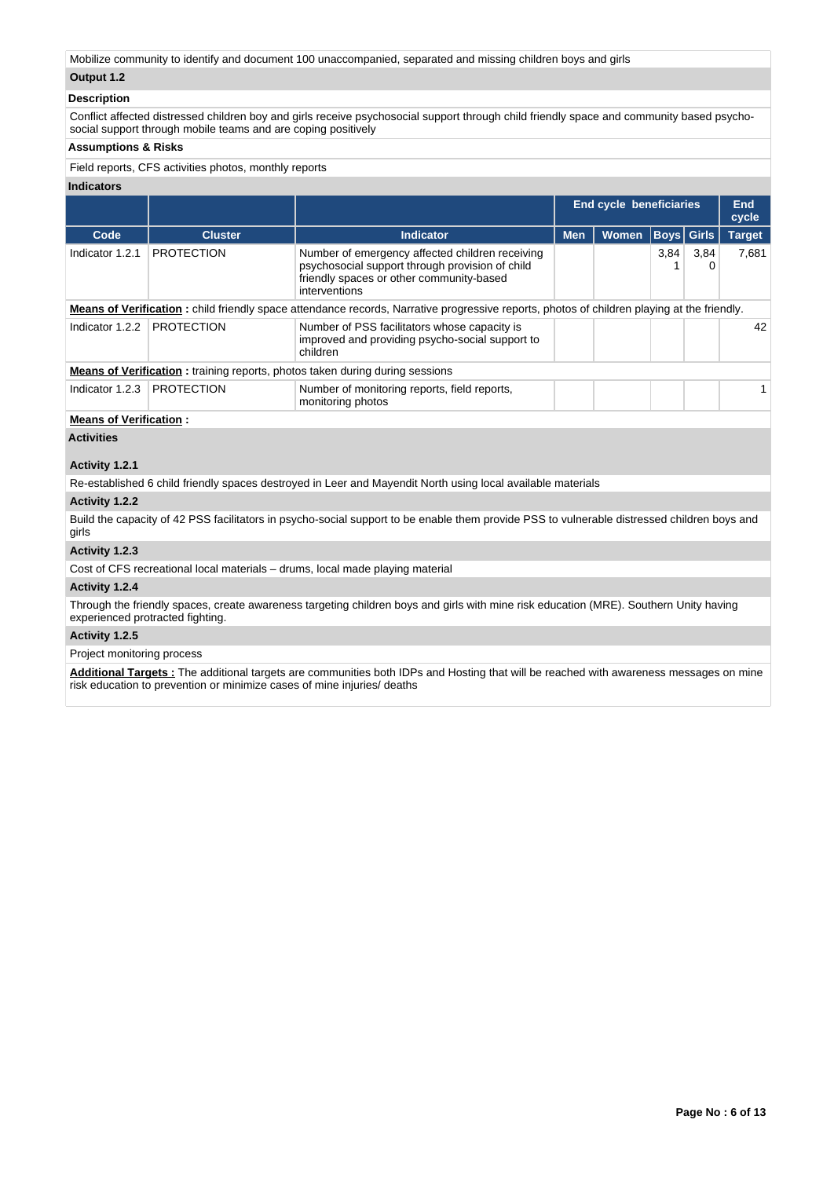Mobilize community to identify and document 100 unaccompanied, separated and missing children boys and girls

## **Output 1.2**

## **Description**

Conflict affected distressed children boy and girls receive psychosocial support through child friendly space and community based psychosocial support through mobile teams and are coping positively

## **Assumptions & Risks**

Field reports, CFS activities photos, monthly reports

| <b>Indicators</b>             |                   |                                                                                                                                                                 |                                |       |      |              |               |
|-------------------------------|-------------------|-----------------------------------------------------------------------------------------------------------------------------------------------------------------|--------------------------------|-------|------|--------------|---------------|
|                               |                   |                                                                                                                                                                 | <b>End cycle beneficiaries</b> |       |      |              | End<br>cycle  |
| Code                          | <b>Cluster</b>    | <b>Indicator</b>                                                                                                                                                | <b>Men</b>                     | Women |      | Boys   Girls | <b>Target</b> |
| Indicator 1.2.1               | <b>PROTECTION</b> | Number of emergency affected children receiving<br>psychosocial support through provision of child<br>friendly spaces or other community-based<br>interventions |                                |       | 3,84 | 3,84         | 7.681         |
|                               |                   | <b>Means of Verification</b> : child friendly space attendance records, Narrative progressive reports, photos of children playing at the friendly.              |                                |       |      |              |               |
| Indicator 1.2.2               | <b>PROTECTION</b> | Number of PSS facilitators whose capacity is<br>improved and providing psycho-social support to<br>children                                                     |                                |       |      |              | 42            |
|                               |                   | <b>Means of Verification:</b> training reports, photos taken during during sessions                                                                             |                                |       |      |              |               |
| Indicator 1.2.3               | <b>PROTECTION</b> | Number of monitoring reports, field reports,<br>monitoring photos                                                                                               |                                |       |      |              |               |
| <b>Means of Verification:</b> |                   |                                                                                                                                                                 |                                |       |      |              |               |
| .                             |                   |                                                                                                                                                                 |                                |       |      |              |               |

**Activities**

## **Activity 1.2.1**

Re-established 6 child friendly spaces destroyed in Leer and Mayendit North using local available materials

## **Activity 1.2.2**

Build the capacity of 42 PSS facilitators in psycho-social support to be enable them provide PSS to vulnerable distressed children boys and girls

## **Activity 1.2.3**

Cost of CFS recreational local materials – drums, local made playing material

### **Activity 1.2.4**

Through the friendly spaces, create awareness targeting children boys and girls with mine risk education (MRE). Southern Unity having experienced protracted fighting.

## **Activity 1.2.5**

Project monitoring process

Additional Targets : The additional targets are communities both IDPs and Hosting that will be reached with awareness messages on mine risk education to prevention or minimize cases of mine injuries/ deaths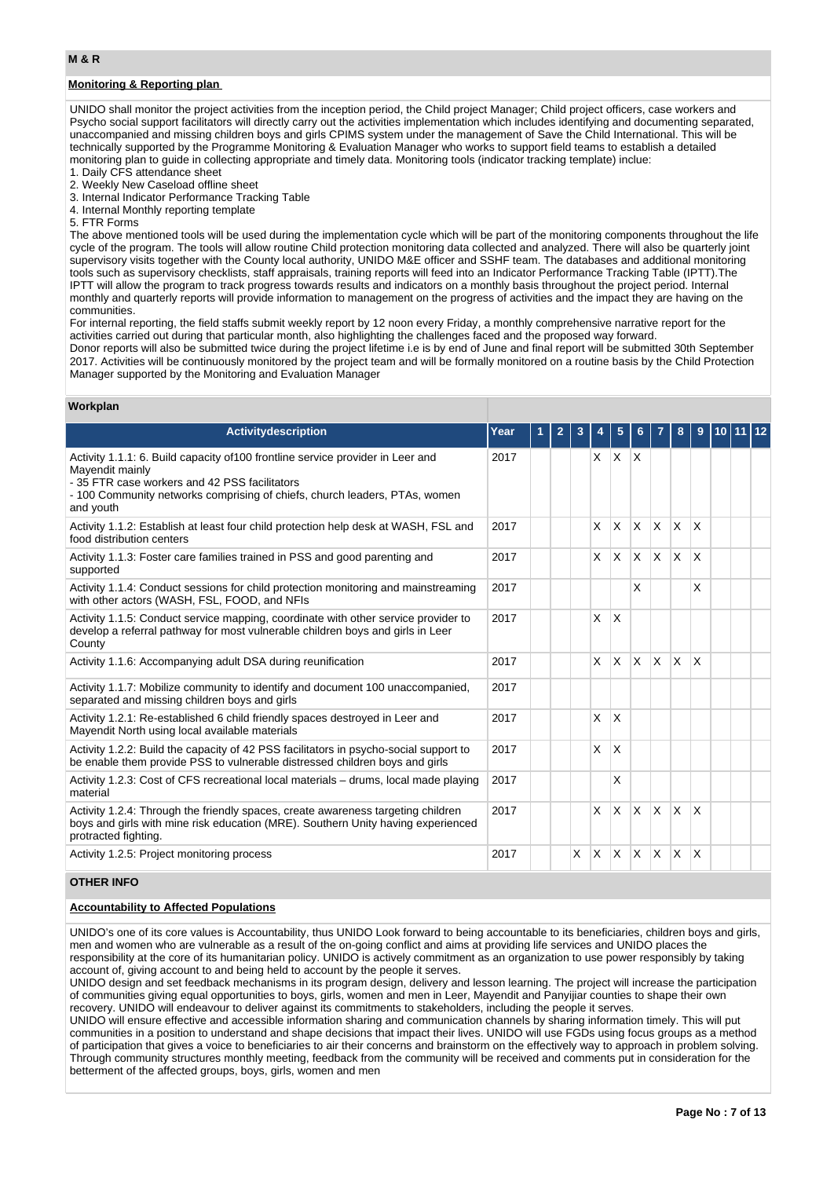## **Monitoring & Reporting plan**

UNIDO shall monitor the project activities from the inception period, the Child project Manager; Child project officers, case workers and Psycho social support facilitators will directly carry out the activities implementation which includes identifying and documenting separated, unaccompanied and missing children boys and girls CPIMS system under the management of Save the Child International. This will be technically supported by the Programme Monitoring & Evaluation Manager who works to support field teams to establish a detailed monitoring plan to guide in collecting appropriate and timely data. Monitoring tools (indicator tracking template) inclue:

- 1. Daily CFS attendance sheet
- 2. Weekly New Caseload offline sheet
- 3. Internal Indicator Performance Tracking Table
- 4. Internal Monthly reporting template
- 5. FTR Forms

The above mentioned tools will be used during the implementation cycle which will be part of the monitoring components throughout the life cycle of the program. The tools will allow routine Child protection monitoring data collected and analyzed. There will also be quarterly joint supervisory visits together with the County local authority, UNIDO M&E officer and SSHF team. The databases and additional monitoring tools such as supervisory checklists, staff appraisals, training reports will feed into an Indicator Performance Tracking Table (IPTT).The IPTT will allow the program to track progress towards results and indicators on a monthly basis throughout the project period. Internal monthly and quarterly reports will provide information to management on the progress of activities and the impact they are having on the communities.

For internal reporting, the field staffs submit weekly report by 12 noon every Friday, a monthly comprehensive narrative report for the activities carried out during that particular month, also highlighting the challenges faced and the proposed way forward. Donor reports will also be submitted twice during the project lifetime i.e is by end of June and final report will be submitted 30th September 2017. Activities will be continuously monitored by the project team and will be formally monitored on a routine basis by the Child Protection Manager supported by the Monitoring and Evaluation Manager

## **Workplan**

| Activitydescription                                                                                                                                                                                                                          | Year |  |          |          | 5            |              |                         |              |          |  |  |
|----------------------------------------------------------------------------------------------------------------------------------------------------------------------------------------------------------------------------------------------|------|--|----------|----------|--------------|--------------|-------------------------|--------------|----------|--|--|
| Activity 1.1.1: 6. Build capacity of 100 frontline service provider in Leer and<br>Mayendit mainly<br>-35 FTR case workers and 42 PSS facilitators<br>-100 Community networks comprising of chiefs, church leaders, PTAs, women<br>and youth | 2017 |  |          | X.       | <b>X</b>     | ΙX           |                         |              |          |  |  |
| Activity 1.1.2: Establish at least four child protection help desk at WASH, FSL and<br>food distribution centers                                                                                                                             | 2017 |  |          | X        | $\mathsf{x}$ | <b>X</b>     | <b>X</b>                | $\times$     | X        |  |  |
| Activity 1.1.3: Foster care families trained in PSS and good parenting and<br>supported                                                                                                                                                      | 2017 |  |          | X        | X            | IX.          | $\mathsf{X}$            | $\mathsf{X}$ | X        |  |  |
| Activity 1.1.4: Conduct sessions for child protection monitoring and mainstreaming<br>with other actors (WASH, FSL, FOOD, and NFIs                                                                                                           | 2017 |  |          |          |              | X            |                         |              | $\times$ |  |  |
| Activity 1.1.5: Conduct service mapping, coordinate with other service provider to<br>develop a referral pathway for most vulnerable children boys and girls in Leer<br>County                                                               | 2017 |  |          | X        | $\times$     |              |                         |              |          |  |  |
| Activity 1.1.6: Accompanying adult DSA during reunification                                                                                                                                                                                  | 2017 |  |          | X        | X            | $\mathsf{X}$ | $\overline{\mathsf{x}}$ | X            | $\times$ |  |  |
| Activity 1.1.7: Mobilize community to identify and document 100 unaccompanied,<br>separated and missing children boys and girls                                                                                                              | 2017 |  |          |          |              |              |                         |              |          |  |  |
| Activity 1.2.1: Re-established 6 child friendly spaces destroyed in Leer and<br>Mayendit North using local available materials                                                                                                               | 2017 |  |          | X        | $\times$     |              |                         |              |          |  |  |
| Activity 1.2.2: Build the capacity of 42 PSS facilitators in psycho-social support to<br>be enable them provide PSS to vulnerable distressed children boys and girls                                                                         | 2017 |  |          | X        | X            |              |                         |              |          |  |  |
| Activity 1.2.3: Cost of CFS recreational local materials – drums, local made playing<br>material                                                                                                                                             | 2017 |  |          |          | X            |              |                         |              |          |  |  |
| Activity 1.2.4: Through the friendly spaces, create awareness targeting children<br>boys and girls with mine risk education (MRE). Southern Unity having experienced<br>protracted fighting.                                                 | 2017 |  |          | X        | $\times$     | $\times$     | IX.                     | $\times$     | $\times$ |  |  |
| Activity 1.2.5: Project monitoring process                                                                                                                                                                                                   | 2017 |  | $\times$ | <b>X</b> | $\times$     | X            | <sup>X</sup>            | X            | $\times$ |  |  |

## **OTHER INFO**

### **Accountability to Affected Populations**

UNIDO's one of its core values is Accountability, thus UNIDO Look forward to being accountable to its beneficiaries, children boys and girls, men and women who are vulnerable as a result of the on-going conflict and aims at providing life services and UNIDO places the responsibility at the core of its humanitarian policy. UNIDO is actively commitment as an organization to use power responsibly by taking account of, giving account to and being held to account by the people it serves.

UNIDO design and set feedback mechanisms in its program design, delivery and lesson learning. The project will increase the participation of communities giving equal opportunities to boys, girls, women and men in Leer, Mayendit and Panyijiar counties to shape their own recovery. UNIDO will endeavour to deliver against its commitments to stakeholders, including the people it serves.

UNIDO will ensure effective and accessible information sharing and communication channels by sharing information timely. This will put communities in a position to understand and shape decisions that impact their lives. UNIDO will use FGDs using focus groups as a method of participation that gives a voice to beneficiaries to air their concerns and brainstorm on the effectively way to approach in problem solving. Through community structures monthly meeting, feedback from the community will be received and comments put in consideration for the betterment of the affected groups, boys, girls, women and men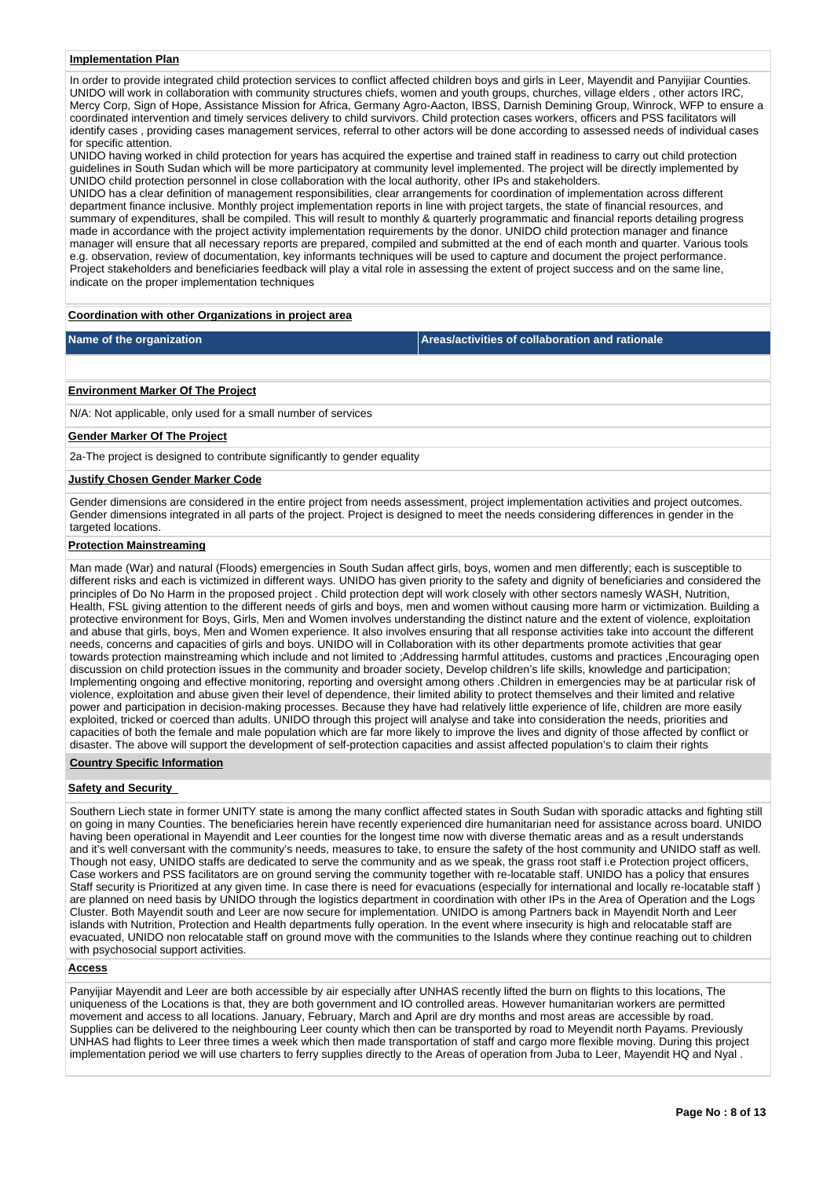#### **Implementation Plan**

In order to provide integrated child protection services to conflict affected children boys and girls in Leer, Mayendit and Panyijiar Counties. UNIDO will work in collaboration with community structures chiefs, women and youth groups, churches, village elders , other actors IRC, Mercy Corp, Sign of Hope, Assistance Mission for Africa, Germany Agro-Aacton, IBSS, Darnish Demining Group, Winrock, WFP to ensure a coordinated intervention and timely services delivery to child survivors. Child protection cases workers, officers and PSS facilitators will identify cases , providing cases management services, referral to other actors will be done according to assessed needs of individual cases for specific attention.

UNIDO having worked in child protection for years has acquired the expertise and trained staff in readiness to carry out child protection guidelines in South Sudan which will be more participatory at community level implemented. The project will be directly implemented by UNIDO child protection personnel in close collaboration with the local authority, other IPs and stakeholders.

UNIDO has a clear definition of management responsibilities, clear arrangements for coordination of implementation across different department finance inclusive. Monthly project implementation reports in line with project targets, the state of financial resources, and summary of expenditures, shall be compiled. This will result to monthly & quarterly programmatic and financial reports detailing progress made in accordance with the project activity implementation requirements by the donor. UNIDO child protection manager and finance manager will ensure that all necessary reports are prepared, compiled and submitted at the end of each month and quarter. Various tools e.g. observation, review of documentation, key informants techniques will be used to capture and document the project performance. Project stakeholders and beneficiaries feedback will play a vital role in assessing the extent of project success and on the same line, indicate on the proper implementation techniques

### **Coordination with other Organizations in project area**

**Name of the organization Areas/activities of collaboration and rationale** 

### **Environment Marker Of The Project**

N/A: Not applicable, only used for a small number of services

### **Gender Marker Of The Project**

2a-The project is designed to contribute significantly to gender equality

## **Justify Chosen Gender Marker Code**

Gender dimensions are considered in the entire project from needs assessment, project implementation activities and project outcomes. Gender dimensions integrated in all parts of the project. Project is designed to meet the needs considering differences in gender in the targeted locations.

## **Protection Mainstreaming**

Man made (War) and natural (Floods) emergencies in South Sudan affect girls, boys, women and men differently; each is susceptible to different risks and each is victimized in different ways. UNIDO has given priority to the safety and dignity of beneficiaries and considered the principles of Do No Harm in the proposed project . Child protection dept will work closely with other sectors namesly WASH, Nutrition, Health, FSL giving attention to the different needs of girls and boys, men and women without causing more harm or victimization. Building a protective environment for Boys, Girls, Men and Women involves understanding the distinct nature and the extent of violence, exploitation and abuse that girls, boys, Men and Women experience. It also involves ensuring that all response activities take into account the different needs, concerns and capacities of girls and boys. UNIDO will in Collaboration with its other departments promote activities that gear towards protection mainstreaming which include and not limited to ;Addressing harmful attitudes, customs and practices ,Encouraging open discussion on child protection issues in the community and broader society, Develop children's life skills, knowledge and participation; Implementing ongoing and effective monitoring, reporting and oversight among others .Children in emergencies may be at particular risk of violence, exploitation and abuse given their level of dependence, their limited ability to protect themselves and their limited and relative power and participation in decision-making processes. Because they have had relatively little experience of life, children are more easily exploited, tricked or coerced than adults. UNIDO through this project will analyse and take into consideration the needs, priorities and capacities of both the female and male population which are far more likely to improve the lives and dignity of those affected by conflict or disaster. The above will support the development of self-protection capacities and assist affected population's to claim their rights

### **Country Specific Information**

### **Safety and Security**

Southern Liech state in former UNITY state is among the many conflict affected states in South Sudan with sporadic attacks and fighting still on going in many Counties. The beneficiaries herein have recently experienced dire humanitarian need for assistance across board. UNIDO having been operational in Mayendit and Leer counties for the longest time now with diverse thematic areas and as a result understands and it's well conversant with the community's needs, measures to take, to ensure the safety of the host community and UNIDO staff as well. Though not easy, UNIDO staffs are dedicated to serve the community and as we speak, the grass root staff i.e Protection project officers, Case workers and PSS facilitators are on ground serving the community together with re-locatable staff. UNIDO has a policy that ensures Staff security is Prioritized at any given time. In case there is need for evacuations (especially for international and locally re-locatable staff ) are planned on need basis by UNIDO through the logistics department in coordination with other IPs in the Area of Operation and the Logs Cluster. Both Mayendit south and Leer are now secure for implementation. UNIDO is among Partners back in Mayendit North and Leer islands with Nutrition, Protection and Health departments fully operation. In the event where insecurity is high and relocatable staff are evacuated, UNIDO non relocatable staff on ground move with the communities to the Islands where they continue reaching out to children with psychosocial support activities.

### **Access**

Panyijiar Mayendit and Leer are both accessible by air especially after UNHAS recently lifted the burn on flights to this locations, The uniqueness of the Locations is that, they are both government and IO controlled areas. However humanitarian workers are permitted movement and access to all locations. January, February, March and April are dry months and most areas are accessible by road. Supplies can be delivered to the neighbouring Leer county which then can be transported by road to Meyendit north Payams. Previously UNHAS had flights to Leer three times a week which then made transportation of staff and cargo more flexible moving. During this project implementation period we will use charters to ferry supplies directly to the Areas of operation from Juba to Leer, Mayendit HQ and Nyal .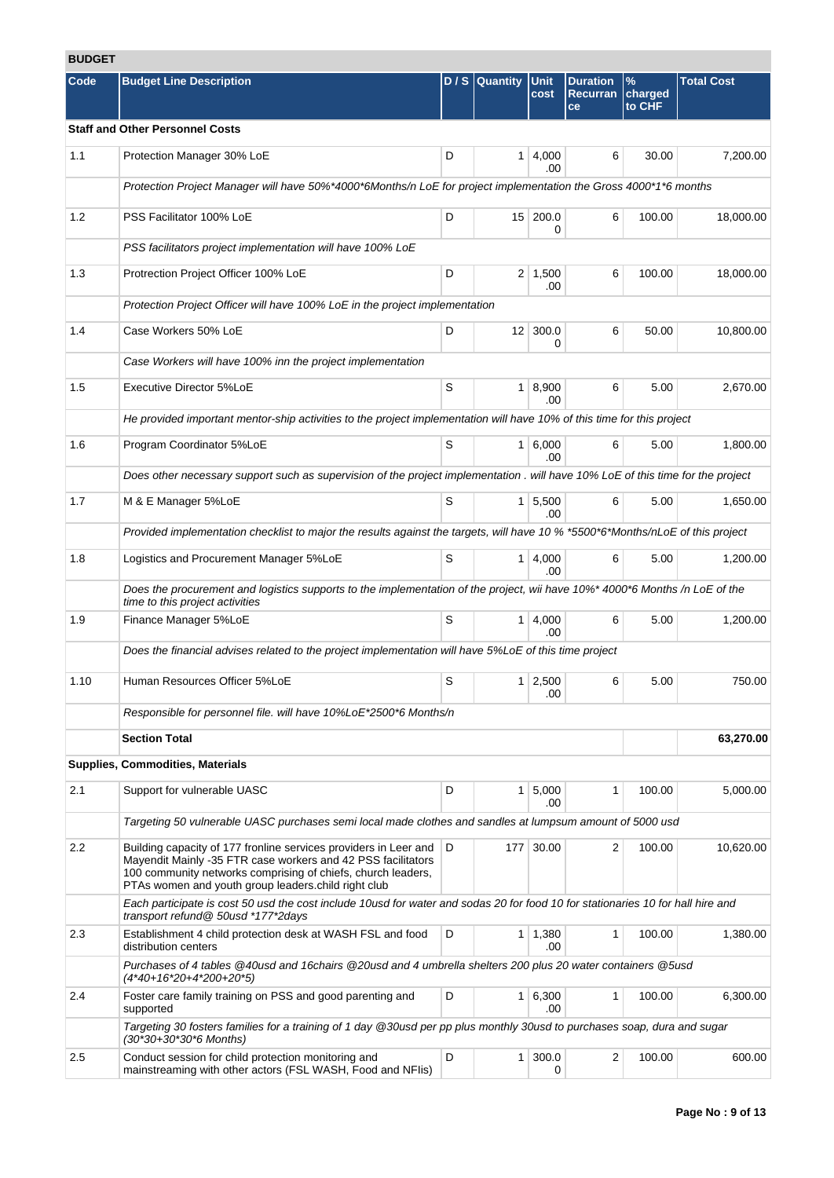# **BUDGET**

| <b>BUDGEI</b> |                                                                                                                                                                                                                                                         |     |                 |                       |                                          |                           |                   |
|---------------|---------------------------------------------------------------------------------------------------------------------------------------------------------------------------------------------------------------------------------------------------------|-----|-----------------|-----------------------|------------------------------------------|---------------------------|-------------------|
| Code          | <b>Budget Line Description</b>                                                                                                                                                                                                                          | D/S | <b>Quantity</b> | <b>Unit</b><br>cost   | <b>Duration</b><br><b>Recurran</b><br>ce | $\%$<br>charged<br>to CHF | <b>Total Cost</b> |
|               | <b>Staff and Other Personnel Costs</b>                                                                                                                                                                                                                  |     |                 |                       |                                          |                           |                   |
| 1.1           | Protection Manager 30% LoE                                                                                                                                                                                                                              | D   | 1 <sup>1</sup>  | 4,000<br>.00          | 6                                        | 30.00                     | 7,200.00          |
|               | Protection Project Manager will have 50%*4000*6Months/n LoE for project implementation the Gross 4000*1*6 months                                                                                                                                        |     |                 |                       |                                          |                           |                   |
| 1.2           | PSS Facilitator 100% LoE                                                                                                                                                                                                                                | D   |                 | 15 200.0<br>0         | 6                                        | 100.00                    | 18,000.00         |
|               | PSS facilitators project implementation will have 100% LoE                                                                                                                                                                                              |     |                 |                       |                                          |                           |                   |
| 1.3           | Protrection Project Officer 100% LoE                                                                                                                                                                                                                    | D   |                 | $2 \mid 1,500$<br>.00 | 6                                        | 100.00                    | 18,000.00         |
|               | Protection Project Officer will have 100% LoE in the project implementation                                                                                                                                                                             |     |                 |                       |                                          |                           |                   |
| 1.4           | Case Workers 50% LoE                                                                                                                                                                                                                                    | D   | 12 <sup>2</sup> | 300.0<br>0            | 6                                        | 50.00                     | 10,800.00         |
|               | Case Workers will have 100% inn the project implementation                                                                                                                                                                                              |     |                 |                       |                                          |                           |                   |
| 1.5           | Executive Director 5%LoE                                                                                                                                                                                                                                | S   |                 | 1   8,900<br>.00      | 6                                        | 5.00                      | 2,670.00          |
|               | He provided important mentor-ship activities to the project implementation will have 10% of this time for this project                                                                                                                                  |     |                 |                       |                                          |                           |                   |
| 1.6           | Program Coordinator 5%LoE                                                                                                                                                                                                                               | S   |                 | 1 6,000<br>.00        | 6                                        | 5.00                      | 1,800.00          |
|               | Does other necessary support such as supervision of the project implementation . will have 10% LoE of this time for the project                                                                                                                         |     |                 |                       |                                          |                           |                   |
| 1.7           | M & E Manager 5%LoE                                                                                                                                                                                                                                     | S   | 1               | 5,500<br>.00          | 6                                        | 5.00                      | 1,650.00          |
|               | Provided implementation checklist to major the results against the targets, will have 10 % *5500*6*Months/nLoE of this project                                                                                                                          |     |                 |                       |                                          |                           |                   |
| 1.8           | Logistics and Procurement Manager 5%LoE                                                                                                                                                                                                                 | S   | 1 <sup>1</sup>  | 4,000<br>.00          | 6                                        | 5.00                      | 1,200.00          |
|               | Does the procurement and logistics supports to the implementation of the project, wii have 10%* 4000*6 Months /n LoE of the<br>time to this project activities                                                                                          |     |                 |                       |                                          |                           |                   |
| 1.9           | Finance Manager 5%LoE                                                                                                                                                                                                                                   | S   |                 | $1 \mid 4,000$<br>.00 | 6                                        | 5.00                      | 1,200.00          |
|               | Does the financial advises related to the project implementation will have 5%LoE of this time project                                                                                                                                                   |     |                 |                       |                                          |                           |                   |
| 1.10          | Human Resources Officer 5%LoE                                                                                                                                                                                                                           | S   |                 | $1 \mid 2,500$<br>.00 | 6                                        | 5.00                      | 750.00            |
|               | Responsible for personnel file. will have 10%LoE*2500*6 Months/n                                                                                                                                                                                        |     |                 |                       |                                          |                           |                   |
|               | <b>Section Total</b>                                                                                                                                                                                                                                    |     |                 |                       |                                          |                           | 63,270.00         |
|               | <b>Supplies, Commodities, Materials</b>                                                                                                                                                                                                                 |     |                 |                       |                                          |                           |                   |
| 2.1           | Support for vulnerable UASC                                                                                                                                                                                                                             | D   |                 | $1 \mid 5,000$<br>.00 | 1                                        | 100.00                    | 5,000.00          |
|               | Targeting 50 vulnerable UASC purchases semi local made clothes and sandles at lumpsum amount of 5000 usd                                                                                                                                                |     |                 |                       |                                          |                           |                   |
| $2.2\,$       | Building capacity of 177 fronline services providers in Leer and<br>Mayendit Mainly -35 FTR case workers and 42 PSS facilitators<br>100 community networks comprising of chiefs, church leaders,<br>PTAs women and youth group leaders.child right club | D   | 177             | 30.00                 | $\overline{2}$                           | 100.00                    | 10,620.00         |
|               | Each participate is cost 50 usd the cost include 10usd for water and sodas 20 for food 10 for stationaries 10 for hall hire and<br>transport refund@ 50usd *177*2days                                                                                   |     |                 |                       |                                          |                           |                   |
| 2.3           | Establishment 4 child protection desk at WASH FSL and food<br>distribution centers                                                                                                                                                                      | D   |                 | $1 \mid 1,380$<br>.00 | 1                                        | 100.00                    | 1,380.00          |
|               | Purchases of 4 tables @40usd and 16chairs @20usd and 4 umbrella shelters 200 plus 20 water containers @5usd<br>(4*40+16*20+4*200+20*5)                                                                                                                  |     |                 |                       |                                          |                           |                   |
| 2.4           | Foster care family training on PSS and good parenting and<br>supported                                                                                                                                                                                  | D   |                 | 1 6,300<br>.00        | 1                                        | 100.00                    | 6,300.00          |
|               | Targeting 30 fosters families for a training of 1 day @30usd per pp plus monthly 30usd to purchases soap, dura and sugar<br>(30*30+30*30*6 Months)                                                                                                      |     |                 |                       |                                          |                           |                   |
| 2.5           | Conduct session for child protection monitoring and<br>mainstreaming with other actors (FSL WASH, Food and NFIis)                                                                                                                                       | D   | 1 <sup>1</sup>  | 300.0<br>0            | 2                                        | 100.00                    | 600.00            |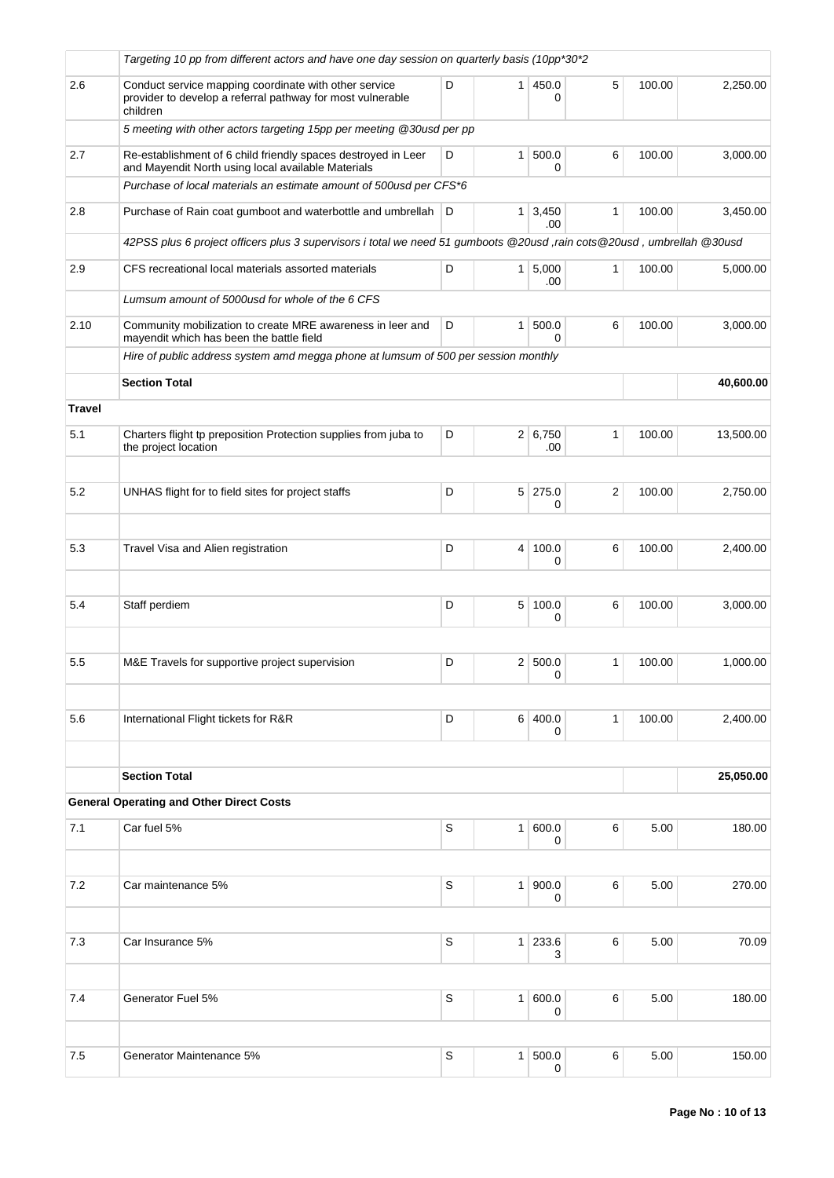|               | Targeting 10 pp from different actors and have one day session on quarterly basis (10pp*30*2                                    |   |                |                       |              |        |           |
|---------------|---------------------------------------------------------------------------------------------------------------------------------|---|----------------|-----------------------|--------------|--------|-----------|
| 2.6           | Conduct service mapping coordinate with other service<br>provider to develop a referral pathway for most vulnerable<br>children | D | 1 <sup>1</sup> | 450.0<br>0            | 5            | 100.00 | 2,250.00  |
|               | 5 meeting with other actors targeting 15pp per meeting @30usd per pp                                                            |   |                |                       |              |        |           |
| 2.7           | Re-establishment of 6 child friendly spaces destroyed in Leer<br>and Mayendit North using local available Materials             | D | 1 <sup>1</sup> | 500.0<br>0            | 6            | 100.00 | 3,000.00  |
|               | Purchase of local materials an estimate amount of 500usd per CFS*6                                                              |   |                |                       |              |        |           |
| 2.8           | Purchase of Rain coat gumboot and waterbottle and umbrellah                                                                     | D |                | $1 \mid 3,450$<br>.00 | 1            | 100.00 | 3,450.00  |
|               | 42PSS plus 6 project officers plus 3 supervisors i total we need 51 gumboots @20usd,rain cots@20usd, umbrellah @30usd           |   |                |                       |              |        |           |
| 2.9           | CFS recreational local materials assorted materials                                                                             | D |                | $1 \, 5,000$<br>.00   | 1            | 100.00 | 5,000.00  |
|               | Lumsum amount of 5000usd for whole of the 6 CFS                                                                                 |   |                |                       |              |        |           |
| 2.10          | Community mobilization to create MRE awareness in leer and<br>mayendit which has been the battle field                          | D | 1 <sup>1</sup> | 500.0<br>0            | 6            | 100.00 | 3,000.00  |
|               | Hire of public address system amd megga phone at lumsum of 500 per session monthly                                              |   |                |                       |              |        |           |
|               | <b>Section Total</b>                                                                                                            |   |                |                       |              |        | 40,600.00 |
| <b>Travel</b> |                                                                                                                                 |   |                |                       |              |        |           |
| 5.1           | Charters flight tp preposition Protection supplies from juba to<br>the project location                                         | D |                | 2 6,750<br>.00        | 1            | 100.00 | 13,500.00 |
|               |                                                                                                                                 |   |                |                       |              |        |           |
| 5.2           | UNHAS flight for to field sites for project staffs                                                                              | D | 5 <sup>1</sup> | 275.0<br>0            | 2            | 100.00 | 2,750.00  |
|               |                                                                                                                                 |   |                |                       |              |        |           |
| 5.3           | Travel Visa and Alien registration                                                                                              | D | $\overline{4}$ | 100.0<br>0            | 6            | 100.00 | 2,400.00  |
|               |                                                                                                                                 |   |                |                       |              |        |           |
| 5.4           | Staff perdiem                                                                                                                   | D | 5 <sup>1</sup> | 100.0<br>0            | 6            | 100.00 | 3,000.00  |
|               |                                                                                                                                 |   |                |                       |              |        |           |
| 5.5           | M&E Travels for supportive project supervision                                                                                  | D |                | 2   500.0<br>0        | 1            | 100.00 | 1,000.00  |
| 5.6           | International Flight tickets for R&R                                                                                            | D | 6 <sup>1</sup> | 400.0                 | $\mathbf{1}$ | 100.00 | 2,400.00  |
|               |                                                                                                                                 |   |                | 0                     |              |        |           |
|               | <b>Section Total</b>                                                                                                            |   |                |                       |              |        | 25,050.00 |
|               | <b>General Operating and Other Direct Costs</b>                                                                                 |   |                |                       |              |        |           |
| 7.1           | Car fuel 5%                                                                                                                     | S | 1 <sup>1</sup> | 600.0<br>0            | 6            | 5.00   | 180.00    |
|               |                                                                                                                                 |   |                |                       |              |        |           |
| 7.2           | Car maintenance 5%                                                                                                              | S | 1 <sup>1</sup> | 900.0<br>0            | 6            | 5.00   | 270.00    |
| 7.3           | Car Insurance 5%                                                                                                                | S |                | $1 \ 233.6$           | 6            | 5.00   | 70.09     |
|               |                                                                                                                                 |   |                | 3                     |              |        |           |
| 7.4           | Generator Fuel 5%                                                                                                               | S | 1 <sup>1</sup> | 600.0                 | 6            | 5.00   | 180.00    |
|               |                                                                                                                                 |   |                | 0                     |              |        |           |
| 7.5           | Generator Maintenance 5%                                                                                                        | S | 1 <sup>1</sup> | 500.0                 | 6            | 5.00   | 150.00    |
|               |                                                                                                                                 |   |                | 0                     |              |        |           |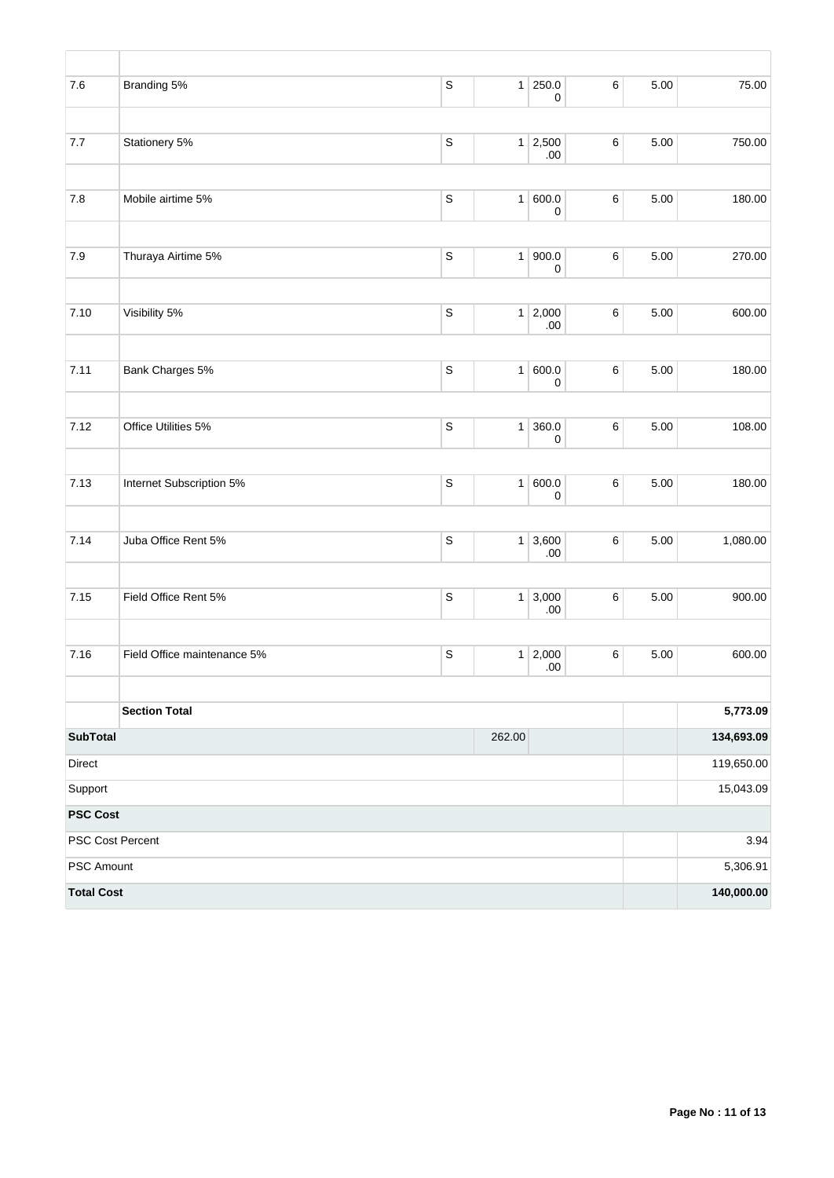| 7.6               | Branding 5%                 | $\mathbb S$ | 1      | 250.0<br>0             | $\,6$ | 5.00 | 75.00      |
|-------------------|-----------------------------|-------------|--------|------------------------|-------|------|------------|
| 7.7               | Stationery 5%               | $\mathbb S$ | 1      | 2,500<br>.00           | 6     | 5.00 | 750.00     |
| $7.8\,$           | Mobile airtime 5%           | $\mathsf S$ | 1      | 600.0<br>0             | 6     | 5.00 | 180.00     |
| $7.9$             | Thuraya Airtime 5%          | $\mathbb S$ | 1      | 900.0<br>$\pmb{0}$     | 6     | 5.00 | 270.00     |
| 7.10              | Visibility 5%               | $\mathsf S$ |        | $1 \mid 2,000$<br>.00  | 6     | 5.00 | 600.00     |
| 7.11              | Bank Charges 5%             | $\mathsf S$ | 1      | 600.0<br>0             | 6     | 5.00 | 180.00     |
| 7.12              | Office Utilities 5%         | $\mathbb S$ | 1      | 360.0<br>0             | 6     | 5.00 | 108.00     |
| 7.13              | Internet Subscription 5%    | $\mathbb S$ | 1      | 600.0<br>0             | 6     | 5.00 | 180.00     |
| 7.14              | Juba Office Rent 5%         | $\mathbb S$ |        | $1 \mid 3,600$<br>.00. | 6     | 5.00 | 1,080.00   |
| 7.15              | Field Office Rent 5%        | $\mathsf S$ |        | $1 \mid 3,000$<br>.00  | 6     | 5.00 | 900.00     |
| 7.16              | Field Office maintenance 5% | $\mathsf S$ | 1      | 2,000<br>.00           | 6     | 5.00 | 600.00     |
|                   | <b>Section Total</b>        |             |        |                        |       |      | 5,773.09   |
| <b>SubTotal</b>   |                             |             | 262.00 |                        |       |      | 134,693.09 |
| Direct            |                             |             |        |                        |       |      | 119,650.00 |
| Support           |                             |             |        |                        |       |      | 15,043.09  |
| <b>PSC Cost</b>   |                             |             |        |                        |       |      |            |
| PSC Cost Percent  |                             |             |        |                        |       |      | 3.94       |
| PSC Amount        |                             |             |        |                        |       |      | 5,306.91   |
| <b>Total Cost</b> |                             |             |        |                        |       |      | 140,000.00 |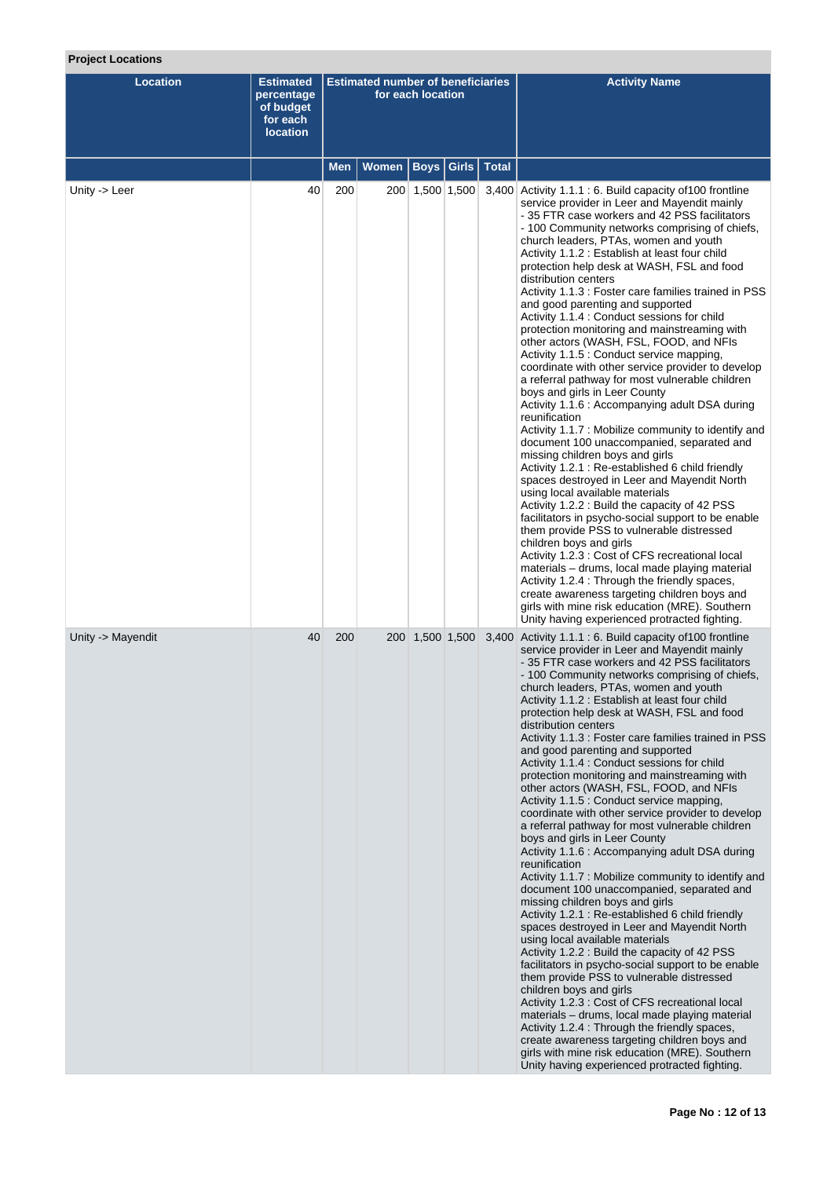## **Project Locations**

| <b>Location</b>   | <b>Estimated</b><br>percentage<br>of budget<br>for each<br><b>location</b> | <b>Estimated number of beneficiaries</b><br>for each location |       |                 |                           | <b>Activity Name</b>                                                                                                                                                                                                                                                                                                                                                                                                                                                                                                                                                                                                                                                                                                                                                                                                                                                                                                                                                                                                                                                                                                                                                                                                                                                                                                                                                                                                                                                                                                                                                                                                                              |
|-------------------|----------------------------------------------------------------------------|---------------------------------------------------------------|-------|-----------------|---------------------------|---------------------------------------------------------------------------------------------------------------------------------------------------------------------------------------------------------------------------------------------------------------------------------------------------------------------------------------------------------------------------------------------------------------------------------------------------------------------------------------------------------------------------------------------------------------------------------------------------------------------------------------------------------------------------------------------------------------------------------------------------------------------------------------------------------------------------------------------------------------------------------------------------------------------------------------------------------------------------------------------------------------------------------------------------------------------------------------------------------------------------------------------------------------------------------------------------------------------------------------------------------------------------------------------------------------------------------------------------------------------------------------------------------------------------------------------------------------------------------------------------------------------------------------------------------------------------------------------------------------------------------------------------|
|                   |                                                                            | <b>Men</b>                                                    | Women |                 | <b>Boys Girls   Total</b> |                                                                                                                                                                                                                                                                                                                                                                                                                                                                                                                                                                                                                                                                                                                                                                                                                                                                                                                                                                                                                                                                                                                                                                                                                                                                                                                                                                                                                                                                                                                                                                                                                                                   |
| Unity -> Leer     | 40                                                                         | 200                                                           |       | 200 1,500 1,500 |                           | 3,400 Activity 1.1.1 : 6. Build capacity of 100 frontline<br>service provider in Leer and Mayendit mainly<br>- 35 FTR case workers and 42 PSS facilitators<br>- 100 Community networks comprising of chiefs,<br>church leaders, PTAs, women and youth<br>Activity 1.1.2 : Establish at least four child<br>protection help desk at WASH, FSL and food<br>distribution centers<br>Activity 1.1.3 : Foster care families trained in PSS<br>and good parenting and supported<br>Activity 1.1.4 : Conduct sessions for child<br>protection monitoring and mainstreaming with<br>other actors (WASH, FSL, FOOD, and NFIs<br>Activity 1.1.5 : Conduct service mapping,<br>coordinate with other service provider to develop<br>a referral pathway for most vulnerable children<br>boys and girls in Leer County<br>Activity 1.1.6 : Accompanying adult DSA during<br>reunification<br>Activity 1.1.7 : Mobilize community to identify and<br>document 100 unaccompanied, separated and<br>missing children boys and girls<br>Activity 1.2.1 : Re-established 6 child friendly<br>spaces destroyed in Leer and Mayendit North<br>using local available materials<br>Activity 1.2.2 : Build the capacity of 42 PSS<br>facilitators in psycho-social support to be enable<br>them provide PSS to vulnerable distressed<br>children boys and girls<br>Activity 1.2.3 : Cost of CFS recreational local<br>materials – drums, local made playing material<br>Activity 1.2.4 : Through the friendly spaces,<br>create awareness targeting children boys and<br>girls with mine risk education (MRE). Southern<br>Unity having experienced protracted fighting. |
| Unity -> Mayendit | 40                                                                         | 200                                                           |       | 200 1,500 1,500 |                           | 3,400 Activity 1.1.1 : 6. Build capacity of 100 frontline<br>service provider in Leer and Mayendit mainly<br>- 35 FTR case workers and 42 PSS facilitators<br>- 100 Community networks comprising of chiefs,<br>church leaders, PTAs, women and youth<br>Activity 1.1.2 : Establish at least four child<br>protection help desk at WASH, FSL and food<br>distribution centers<br>Activity 1.1.3 : Foster care families trained in PSS<br>and good parenting and supported<br>Activity 1.1.4 : Conduct sessions for child<br>protection monitoring and mainstreaming with<br>other actors (WASH, FSL, FOOD, and NFIs<br>Activity 1.1.5 : Conduct service mapping,<br>coordinate with other service provider to develop<br>a referral pathway for most vulnerable children<br>boys and girls in Leer County<br>Activity 1.1.6 : Accompanying adult DSA during<br>reunification<br>Activity 1.1.7 : Mobilize community to identify and<br>document 100 unaccompanied, separated and<br>missing children boys and girls<br>Activity 1.2.1 : Re-established 6 child friendly<br>spaces destroyed in Leer and Mayendit North<br>using local available materials<br>Activity 1.2.2 : Build the capacity of 42 PSS<br>facilitators in psycho-social support to be enable<br>them provide PSS to vulnerable distressed<br>children boys and girls<br>Activity 1.2.3 : Cost of CFS recreational local<br>materials - drums, local made playing material<br>Activity 1.2.4 : Through the friendly spaces,<br>create awareness targeting children boys and<br>girls with mine risk education (MRE). Southern<br>Unity having experienced protracted fighting. |